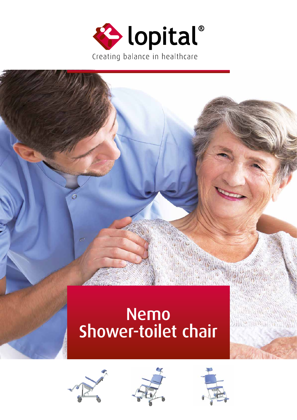

# Nemo Shower-toilet chair







 $\mathcal{O}(\mathcal{W}_{\mathcal{W}}(\mathcal{W}_{\mathcal{W}})) \geq \mathcal{O}(\mathcal{W}_{\mathcal{W}}(\mathcal{W}_{\mathcal{W}}))$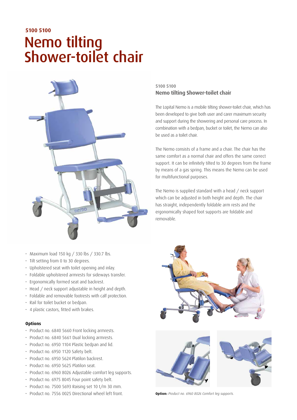# Nemo tilting Shower-toilet chair **5100 5100**



#### • Maximum load 150 kg / 330 lbs / 330.7 lbs.

- Tilt setting from 0 to 30 degrees.
- Upholstered seat with toilet opening and inlay.
- Foldable upholstered armrests for sideways transfer.
- Ergonomically formed seat and backrest.
- Head / neck support adjustable in height and depth.
- Foldable and removable footrests with calf protection.
- Rail for toilet bucket or bedpan.
- 4 plastic castors, fitted with brakes.

#### **Options**

- Product no. 6840 5660 Front locking armrests.
- Product no. 6840 5661 Dual locking armrests.
- Product no. 6950 1104 Plastic bedpan and lid.
- Product no. 6950 1120 Safety belt.
- Product no. 6950 5624 Platilon backrest.
- Product no. 6950 5625 Platilon seat.
- Product no. 6960 8026 Adjustable comfort leg supports.
- Product no. 6975 8045 Four point safety belt.
- Product no. 7500 5693 Raising set 10 t/m 30 mm.
- Product no. 7556 0025 Directional wheel left front. **Option:** *Product no. 6960 8026 Comfort leg supports.*

### 5100 5100 **Nemo tilting Shower-toilet chair**

The Lopital Nemo is a mobile tilting shower-toilet chair, which has been developed to give both user and carer maximum security and support during the showering and personal care process. In combination with a bedpan, bucket or toilet, the Nemo can also be used as a toilet chair.

The Nemo consists of a frame and a chair. The chair has the same comfort as a normal chair and offers the same correct support. It can be infinitely tilted to 30 degrees from the frame by means of a gas spring. This means the Nemo can be used for multifunctional purposes.

The Nemo is supplied standard with a head / neck support which can be adjusted in both height and depth. The chair has straight, independently foldable arm rests and the ergonomically shaped foot supports are foldable and removable.



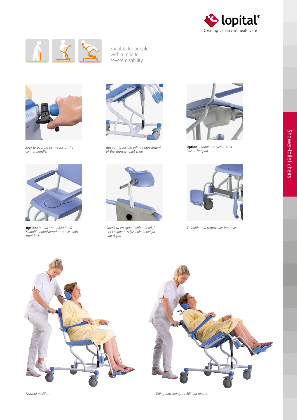



Suitable for people with a mild to severe disability



*Easy to operate by means of the control handle.*



*Plastic bedpan. Gas spring for the infinite adjustment of the shower-toilet chair.* 



**Option:** *Product no. 6950 1104* 



**Option:** *Product no. 6840 5660 Foldable and removable footrests. Foldable upholstered armrests with front lock.*



*Standard equipped with a head / neck support. Adjustable in height and depth.*







*Normal position. Tilting function up to 30° backwards.*